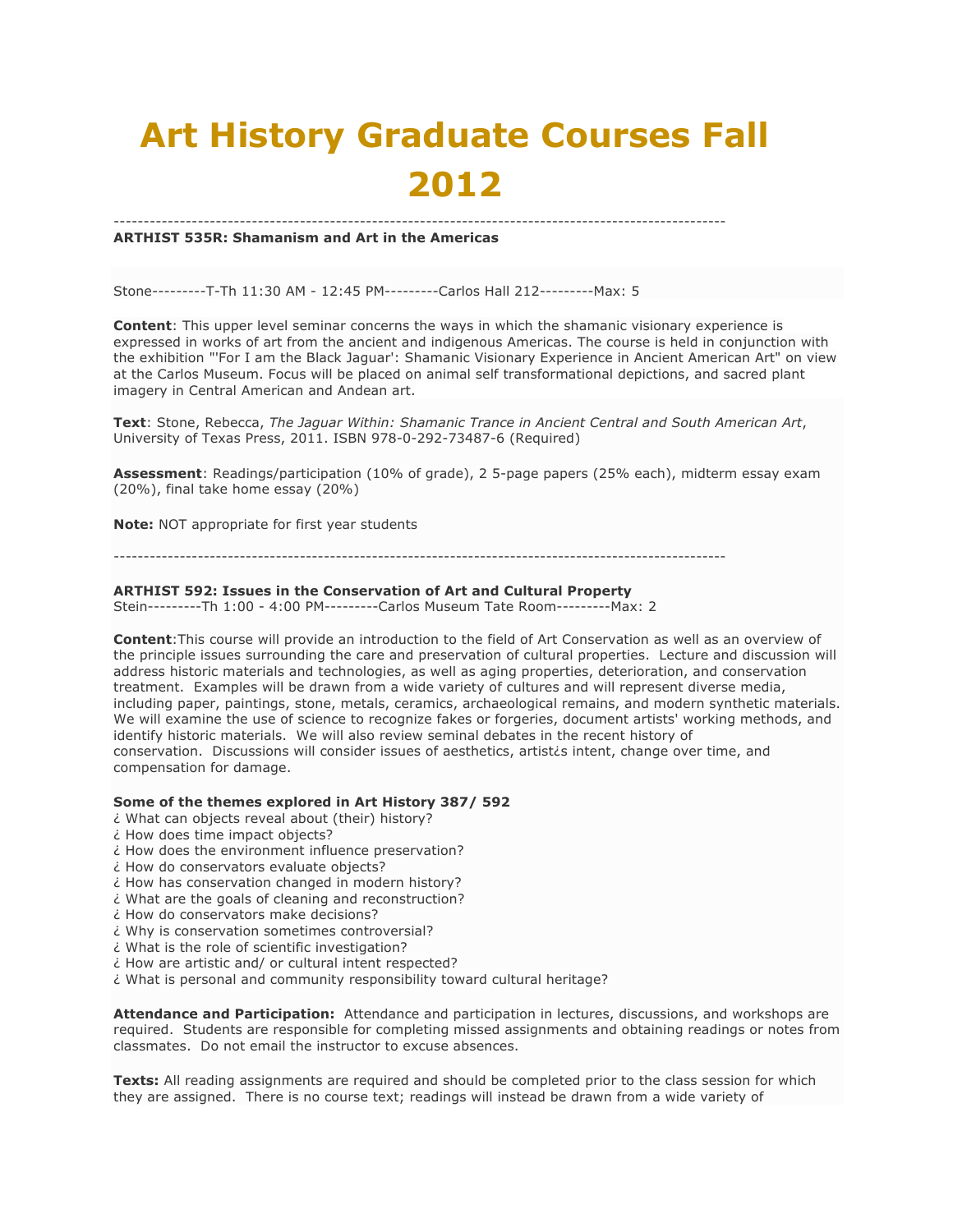# **Art History Graduate Courses Fall 2012**

#### ------------------------------------------------------------------------------------------------------ **ARTHIST 535R: Shamanism and Art in the Americas**

Stone---------T-Th 11:30 AM - 12:45 PM---------Carlos Hall 212---------Max: 5

**Content**: This upper level seminar concerns the ways in which the shamanic visionary experience is expressed in works of art from the ancient and indigenous Americas. The course is held in conjunction with the exhibition "'For I am the Black Jaguar': Shamanic Visionary Experience in Ancient American Art" on view at the Carlos Museum. Focus will be placed on animal self transformational depictions, and sacred plant imagery in Central American and Andean art.

**Text**: Stone, Rebecca, *The Jaguar Within: Shamanic Trance in Ancient Central and South American Art*, University of Texas Press, 2011. ISBN 978-0-292-73487-6 (Required)

**Assessment**: Readings/participation (10% of grade), 2 5-page papers (25% each), midterm essay exam (20%), final take home essay (20%)

**Note:** NOT appropriate for first year students

------------------------------------------------------------------------------------------------------

#### **ARTHIST 592: Issues in the Conservation of Art and Cultural Property**

Stein---------Th 1:00 - 4:00 PM---------Carlos Museum Tate Room---------Max: 2

**Content**:This course will provide an introduction to the field of Art Conservation as well as an overview of the principle issues surrounding the care and preservation of cultural properties. Lecture and discussion will address historic materials and technologies, as well as aging properties, deterioration, and conservation treatment. Examples will be drawn from a wide variety of cultures and will represent diverse media, including paper, paintings, stone, metals, ceramics, archaeological remains, and modern synthetic materials. We will examine the use of science to recognize fakes or forgeries, document artists' working methods, and identify historic materials. We will also review seminal debates in the recent history of conservation. Discussions will consider issues of aesthetics, artistis intent, change over time, and compensation for damage.

#### **Some of the themes explored in Art History 387/ 592**

- ¿ What can objects reveal about (their) history?
- ¿ How does time impact objects?
- ¿ How does the environment influence preservation?
- ¿ How do conservators evaluate objects?
- ¿ How has conservation changed in modern history?
- ¿ What are the goals of cleaning and reconstruction?
- ¿ How do conservators make decisions?
- ¿ Why is conservation sometimes controversial?
- ¿ What is the role of scientific investigation?
- ¿ How are artistic and/ or cultural intent respected?
- ¿ What is personal and community responsibility toward cultural heritage?

**Attendance and Participation:** Attendance and participation in lectures, discussions, and workshops are required. Students are responsible for completing missed assignments and obtaining readings or notes from classmates. Do not email the instructor to excuse absences.

**Texts:** All reading assignments are required and should be completed prior to the class session for which they are assigned. There is no course text; readings will instead be drawn from a wide variety of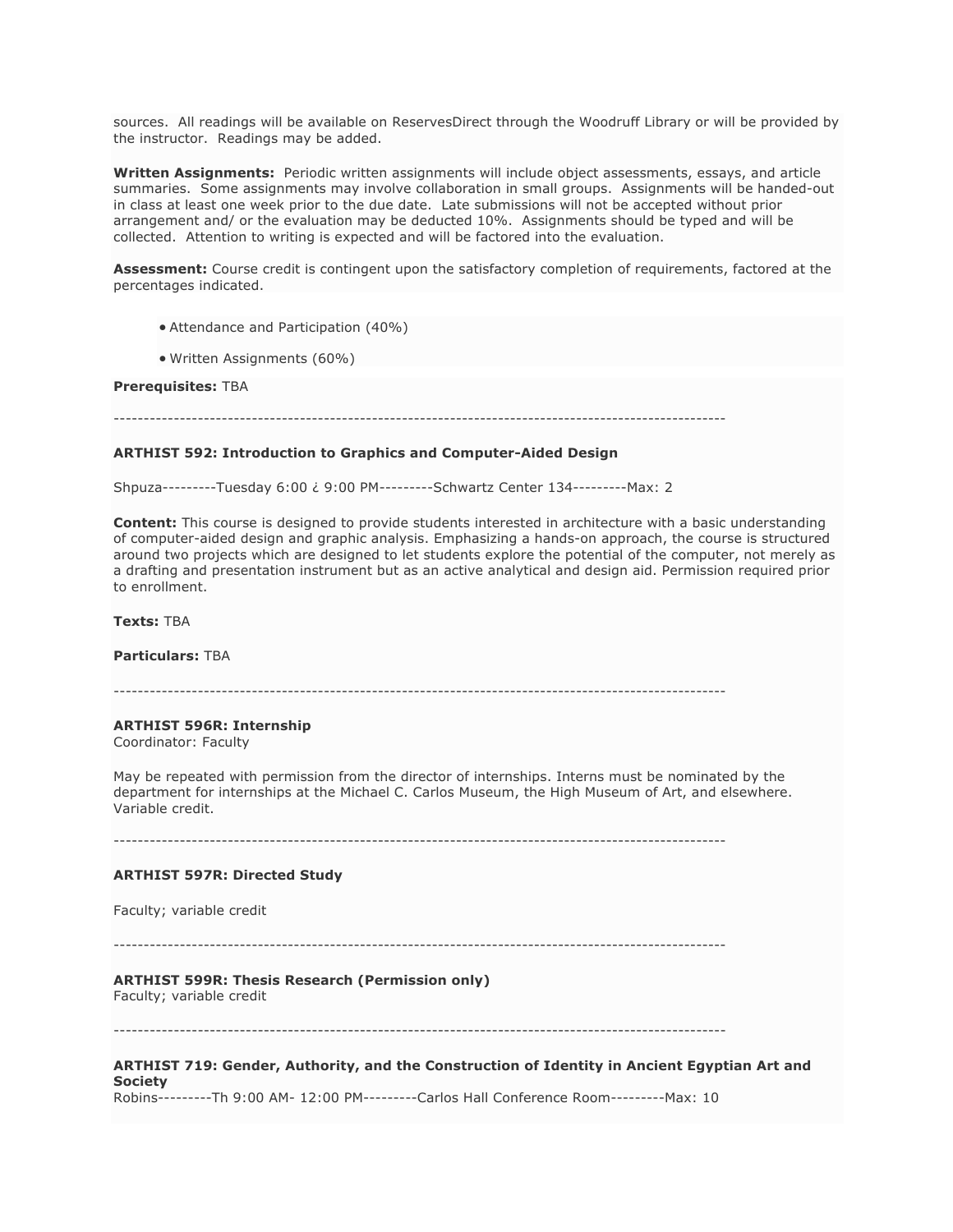sources. All readings will be available on ReservesDirect through the Woodruff Library or will be provided by the instructor. Readings may be added.

**Written Assignments:** Periodic written assignments will include object assessments, essays, and article summaries. Some assignments may involve collaboration in small groups. Assignments will be handed-out in class at least one week prior to the due date. Late submissions will not be accepted without prior arrangement and/ or the evaluation may be deducted 10%. Assignments should be typed and will be collected. Attention to writing is expected and will be factored into the evaluation.

**Assessment:** Course credit is contingent upon the satisfactory completion of requirements, factored at the percentages indicated.

- Attendance and Participation (40%)
- Written Assignments (60%)

# **Prerequisites:** TBA

#### **ARTHIST 592: Introduction to Graphics and Computer-Aided Design**

Shpuza---------Tuesday 6:00 ¿ 9:00 PM---------Schwartz Center 134---------Max: 2

**Content:** This course is designed to provide students interested in architecture with a basic understanding of computer-aided design and graphic analysis. Emphasizing a hands-on approach, the course is structured around two projects which are designed to let students explore the potential of the computer, not merely as a drafting and presentation instrument but as an active analytical and design aid. Permission required prior to enrollment.

**Texts:** TBA

**Particulars:** TBA

------------------------------------------------------------------------------------------------------

#### **ARTHIST 596R: Internship**

Coordinator: Faculty

May be repeated with permission from the director of internships. Interns must be nominated by the department for internships at the Michael C. Carlos Museum, the High Museum of Art, and elsewhere. Variable credit.

------------------------------------------------------------------------------------------------------

#### **ARTHIST 597R: Directed Study**

Faculty; variable credit

------------------------------------------------------------------------------------------------------

# **ARTHIST 599R: Thesis Research (Permission only)**

Faculty; variable credit

------------------------------------------------------------------------------------------------------

### **ARTHIST 719: Gender, Authority, and the Construction of Identity in Ancient Egyptian Art and Society**

Robins---------Th 9:00 AM- 12:00 PM---------Carlos Hall Conference Room---------Max: 10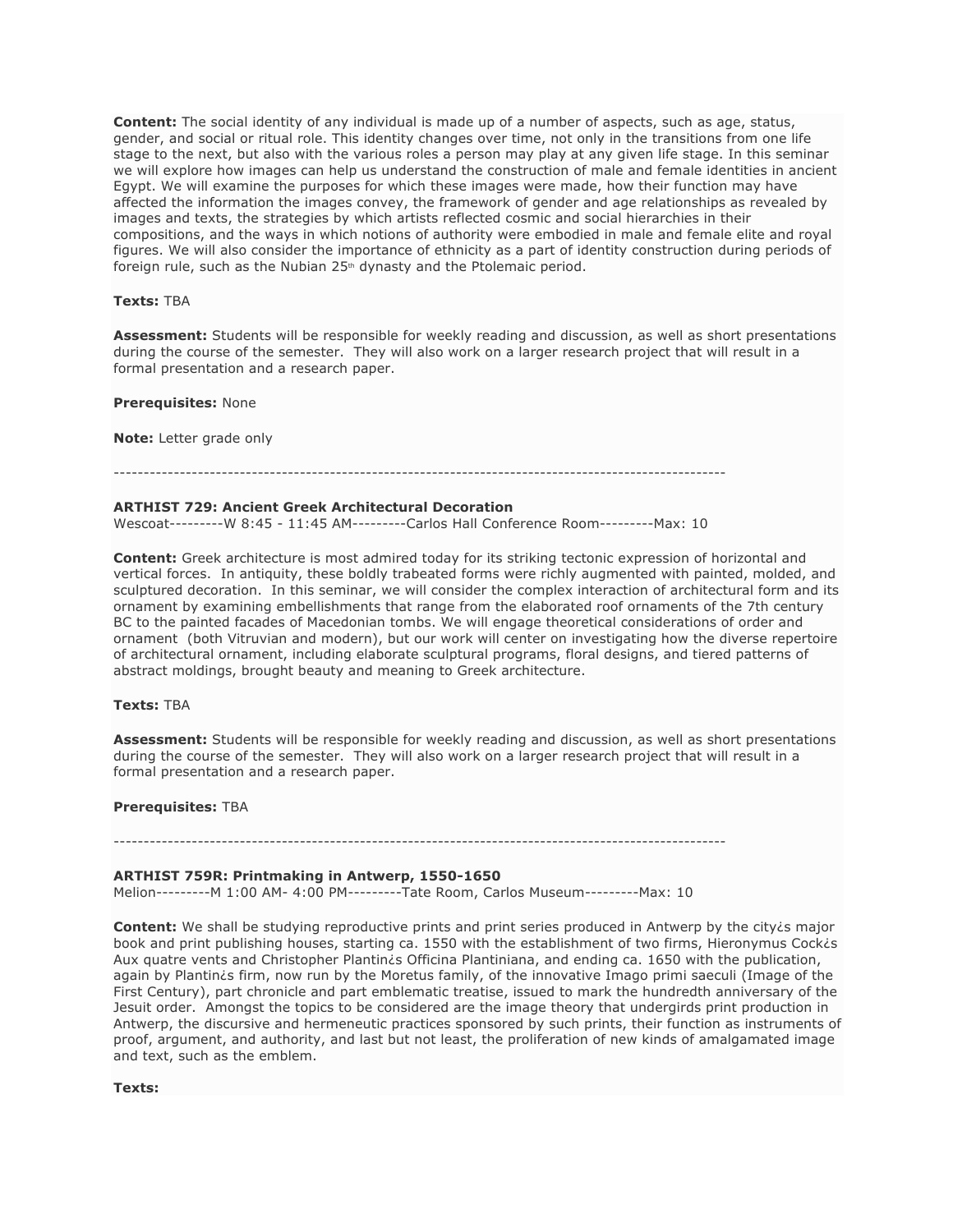**Content:** The social identity of any individual is made up of a number of aspects, such as age, status, gender, and social or ritual role. This identity changes over time, not only in the transitions from one life stage to the next, but also with the various roles a person may play at any given life stage. In this seminar we will explore how images can help us understand the construction of male and female identities in ancient Egypt. We will examine the purposes for which these images were made, how their function may have affected the information the images convey, the framework of gender and age relationships as revealed by images and texts, the strategies by which artists reflected cosmic and social hierarchies in their compositions, and the ways in which notions of authority were embodied in male and female elite and royal figures. We will also consider the importance of ethnicity as a part of identity construction during periods of foreign rule, such as the Nubian 25<sup>th</sup> dynasty and the Ptolemaic period.

#### **Texts:** TBA

**Assessment:** Students will be responsible for weekly reading and discussion, as well as short presentations during the course of the semester. They will also work on a larger research project that will result in a formal presentation and a research paper.

#### **Prerequisites:** None

**Note:** Letter grade only

### ------------------------------------------------------------------------------------------------------

### **ARTHIST 729: Ancient Greek Architectural Decoration**

Wescoat---------W 8:45 - 11:45 AM---------Carlos Hall Conference Room---------Max: 10

**Content:** Greek architecture is most admired today for its striking tectonic expression of horizontal and vertical forces. In antiquity, these boldly trabeated forms were richly augmented with painted, molded, and sculptured decoration. In this seminar, we will consider the complex interaction of architectural form and its ornament by examining embellishments that range from the elaborated roof ornaments of the 7th century BC to the painted facades of Macedonian tombs. We will engage theoretical considerations of order and ornament (both Vitruvian and modern), but our work will center on investigating how the diverse repertoire of architectural ornament, including elaborate sculptural programs, floral designs, and tiered patterns of abstract moldings, brought beauty and meaning to Greek architecture.

# **Texts:** TBA

**Assessment:** Students will be responsible for weekly reading and discussion, as well as short presentations during the course of the semester. They will also work on a larger research project that will result in a formal presentation and a research paper.

#### **Prerequisites:** TBA

------------------------------------------------------------------------------------------------------

#### **ARTHIST 759R: Printmaking in Antwerp, 1550-1650**

Melion---------M 1:00 AM- 4:00 PM---------Tate Room, Carlos Museum---------Max: 10

**Content:** We shall be studying reproductive prints and print series produced in Antwerp by the city*is* major book and print publishing houses, starting ca. 1550 with the establishment of two firms, Hieronymus Cock¿s Aux quatre vents and Christopher Plantin¿s Officina Plantiniana, and ending ca. 1650 with the publication, again by Plantin¿s firm, now run by the Moretus family, of the innovative Imago primi saeculi (Image of the First Century), part chronicle and part emblematic treatise, issued to mark the hundredth anniversary of the Jesuit order. Amongst the topics to be considered are the image theory that undergirds print production in Antwerp, the discursive and hermeneutic practices sponsored by such prints, their function as instruments of proof, argument, and authority, and last but not least, the proliferation of new kinds of amalgamated image and text, such as the emblem.

**Texts:**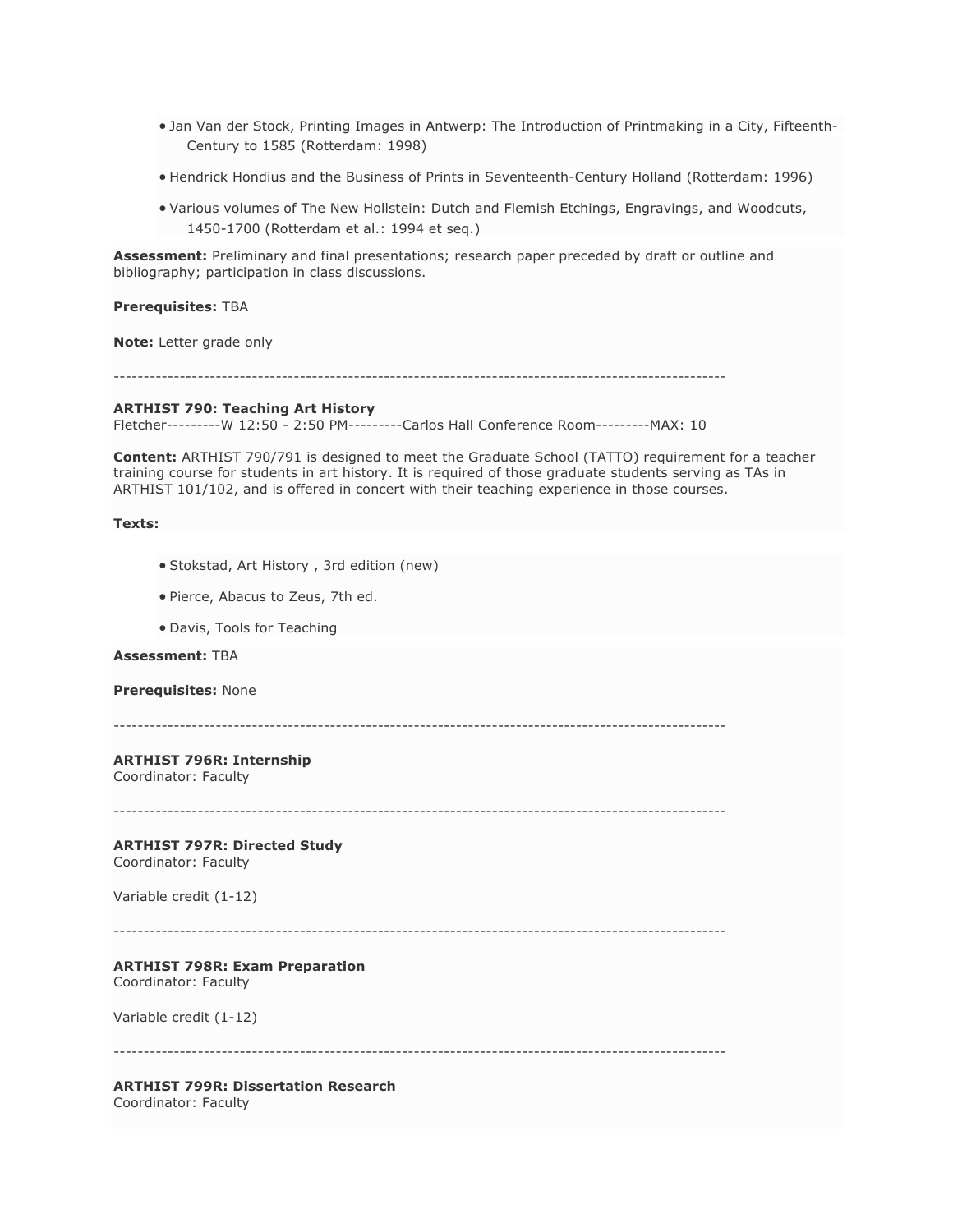- Jan Van der Stock, Printing Images in Antwerp: The Introduction of Printmaking in a City, Fifteenth-Century to 1585 (Rotterdam: 1998)
- Hendrick Hondius and the Business of Prints in Seventeenth-Century Holland (Rotterdam: 1996)
- Various volumes of The New Hollstein: Dutch and Flemish Etchings, Engravings, and Woodcuts, 1450-1700 (Rotterdam et al.: 1994 et seq.)

**Assessment:** Preliminary and final presentations; research paper preceded by draft or outline and bibliography; participation in class discussions.

**Prerequisites:** TBA

**Note:** Letter grade only

------------------------------------------------------------------------------------------------------

#### **ARTHIST 790: Teaching Art History**

Fletcher---------W 12:50 - 2:50 PM---------Carlos Hall Conference Room---------MAX: 10

**Content:** ARTHIST 790/791 is designed to meet the Graduate School (TATTO) requirement for a teacher training course for students in art history. It is required of those graduate students serving as TAs in ARTHIST 101/102, and is offered in concert with their teaching experience in those courses.

#### **Texts:**

- Stokstad, Art History , 3rd edition (new)
- Pierce, Abacus to Zeus, 7th ed.
- Davis, Tools for Teaching

## **Assessment:** TBA

#### **Prerequisites:** None

------------------------------------------------------------------------------------------------------

# **ARTHIST 796R: Internship**

Coordinator: Faculty

# **ARTHIST 797R: Directed Study**

Coordinator: Faculty

Variable credit (1-12)

------------------------------------------------------------------------------------------------------

## **ARTHIST 798R: Exam Preparation**

Coordinator: Faculty

Variable credit (1-12)

------------------------------------------------------------------------------------------------------

# **ARTHIST 799R: Dissertation Research**

Coordinator: Faculty